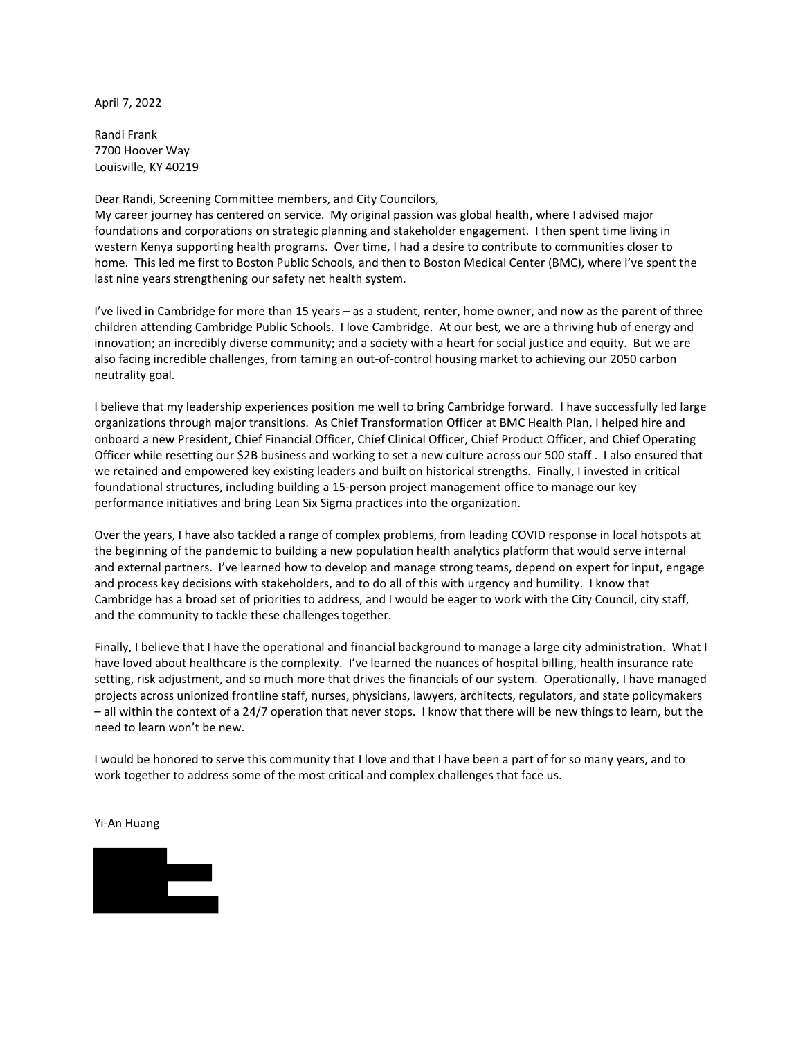April 7, 2022

Randi Frank 7700 Hoover Way Louisville, KY 40219

Dear Randi, Screening Committee members, and City Councilors,

My career journey has centered on service. My original passion was global health, where I advised major foundations and corporations on strategic planning and stakeholder engagement. I then spent time living in western Kenya supporting health programs. Over time, I had a desire to contribute to communities closer to home. This led me first to Boston Public Schools, and then to Boston Medical Center (BMC), where I've spent the last nine years strengthening our safety net health system.

I've lived in Cambridge for more than 15 years – as a student, renter, home owner, and now as the parent of three children attending Cambridge Public Schools. I love Cambridge. At our best, we are a thriving hub of energy and innovation; an incredibly diverse community; and a society with a heart for social justice and equity. But we are also facing incredible challenges, from taming an out-of-control housing market to achieving our 2050 carbon neutrality goal.

I believe that my leadership experiences position me well to bring Cambridge forward. I have successfully led large organizations through major transitions. As Chief Transformation Officer at BMC Health Plan, I helped hire and onboard a new President, Chief Financial Officer, Chief Clinical Officer, Chief Product Officer, and Chief Operating Officer while resetting our \$2B business and working to set a new culture across our 500 staff . I also ensured that we retained and empowered key existing leaders and built on historical strengths. Finally, I invested in critical foundational structures, including building a 15-person project management office to manage our key performance initiatives and bring Lean Six Sigma practices into the organization.

Over the years, I have also tackled a range of complex problems, from leading COVID response in local hotspots at the beginning of the pandemic to building a new population health analytics platform that would serve internal and external partners. I've learned how to develop and manage strong teams, depend on expert for input, engage and process key decisions with stakeholders, and to do all of this with urgency and humility. I know that Cambridge has a broad set of priorities to address, and I would be eager to work with the City Council, city staff, and the community to tackle these challenges together.

Finally, I believe that I have the operational and financial background to manage a large city administration. What I have loved about healthcare is the complexity. I've learned the nuances of hospital billing, health insurance rate setting, risk adjustment, and so much more that drives the financials of our system. Operationally, I have managed projects across unionized frontline staff, nurses, physicians, lawyers, architects, regulators, and state policymakers – all within the context of a 24/7 operation that never stops. I know that there will be new things to learn, but the need to learn won't be new.

I would be honored to serve this community that I love and that I have been a part of for so many years, and to work together to address some of the most critical and complex challenges that face us.

### Yi-An Huang

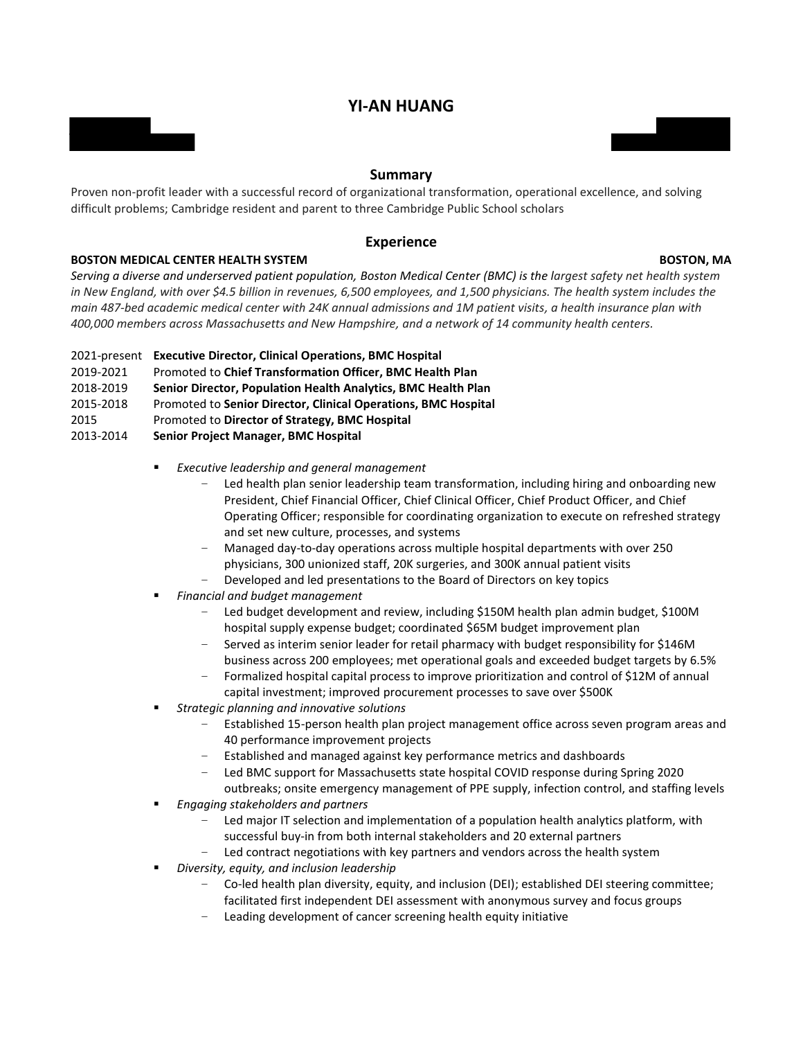# **YI-AN HUANG**



### **Summary**

Proven non-profit leader with a successful record of organizational transformation, operational excellence, and solving difficult problems; Cambridge resident and parent to three Cambridge Public School scholars

### **Experience**

### **BOSTON MEDICAL CENTER HEALTH SYSTEM BOSTON, MA**

*Serving a diverse and underserved patient population, Boston Medical Center (BMC) is the largest safety net health system in New England, with over \$4.5 billion in revenues, 6,500 employees, and 1,500 physicians. The health system includes the main 487-bed academic medical center with 24K annual admissions and 1M patient visits, a health insurance plan with 400,000 members across Massachusetts and New Hampshire, and a network of 14 community health centers.*

- 2021-present **Executive Director, Clinical Operations, BMC Hospital**
- 2019-2021 Promoted to **Chief Transformation Officer, BMC Health Plan**
- 2018-2019 **Senior Director, Population Health Analytics, BMC Health Plan**
- 2015-2018 Promoted to **Senior Director, Clinical Operations, BMC Hospital**
- 2015 Promoted to **Director of Strategy, BMC Hospital**
- 2013-2014 **Senior Project Manager, BMC Hospital**
	- *Executive leadership and general management*
		- Led health plan senior leadership team transformation, including hiring and onboarding new President, Chief Financial Officer, Chief Clinical Officer, Chief Product Officer, and Chief Operating Officer; responsible for coordinating organization to execute on refreshed strategy and set new culture, processes, and systems
		- Managed day-to-day operations across multiple hospital departments with over 250 physicians, 300 unionized staff, 20K surgeries, and 300K annual patient visits
		- Developed and led presentations to the Board of Directors on key topics
	- *Financial and budget management*
		- Led budget development and review, including \$150M health plan admin budget, \$100M hospital supply expense budget; coordinated \$65M budget improvement plan
		- Served as interim senior leader for retail pharmacy with budget responsibility for \$146M business across 200 employees; met operational goals and exceeded budget targets by 6.5%
		- Formalized hospital capital process to improve prioritization and control of \$12M of annual capital investment; improved procurement processes to save over \$500K
	- *Strategic planning and innovative solutions*
		- Established 15-person health plan project management office across seven program areas and 40 performance improvement projects
		- Established and managed against key performance metrics and dashboards
		- Led BMC support for Massachusetts state hospital COVID response during Spring 2020
		- outbreaks; onsite emergency management of PPE supply, infection control, and staffing levels
	- *Engaging stakeholders and partners*
		- Led major IT selection and implementation of a population health analytics platform, with successful buy-in from both internal stakeholders and 20 external partners
		- Led contract negotiations with key partners and vendors across the health system
	- *Diversity, equity, and inclusion leadership*
		- Co-led health plan diversity, equity, and inclusion (DEI); established DEI steering committee; facilitated first independent DEI assessment with anonymous survey and focus groups
		- Leading development of cancer screening health equity initiative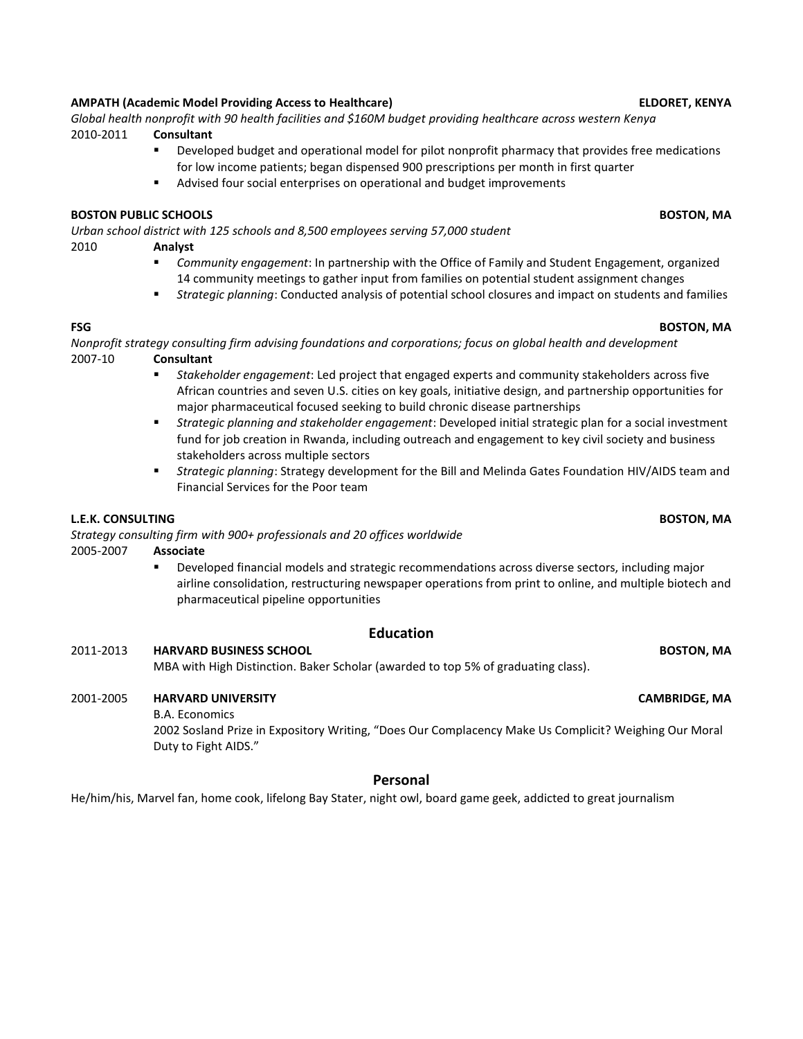## **AMPATH (Academic Model Providing Access to Healthcare) ELDORET, KENYA**

*Global health nonprofit with 90 health facilities and \$160M budget providing healthcare across western Kenya*  2010-2011 **Consultant**

- Developed budget and operational model for pilot nonprofit pharmacy that provides free medications for low income patients; began dispensed 900 prescriptions per month in first quarter
	- Advised four social enterprises on operational and budget improvements

### **BOSTON PUBLIC SCHOOLS BOSTON, MA**

*Urban school district with 125 schools and 8,500 employees serving 57,000 student*

### 2010 **Analyst**

- *Community engagement*: In partnership with the Office of Family and Student Engagement, organized 14 community meetings to gather input from families on potential student assignment changes
- *Strategic planning*: Conducted analysis of potential school closures and impact on students and families

### **FSG BOSTON, MA**

*Nonprofit strategy consulting firm advising foundations and corporations; focus on global health and development*  2007-10 **Consultant**

- *Stakeholder engagement*: Led project that engaged experts and community stakeholders across five African countries and seven U.S. cities on key goals, initiative design, and partnership opportunities for major pharmaceutical focused seeking to build chronic disease partnerships
- *Strategic planning and stakeholder engagement*: Developed initial strategic plan for a social investment fund for job creation in Rwanda, including outreach and engagement to key civil society and business stakeholders across multiple sectors
- *Strategic planning*: Strategy development for the Bill and Melinda Gates Foundation HIV/AIDS team and Financial Services for the Poor team

### **L.E.K. CONSULTING BOSTON, MA**

*Strategy consulting firm with 900+ professionals and 20 offices worldwide*

- 2005-2007 **Associate**
	- Developed financial models and strategic recommendations across diverse sectors, including major airline consolidation, restructuring newspaper operations from print to online, and multiple biotech and pharmaceutical pipeline opportunities

### **Education**

### 2011-2013 **HARVARD BUSINESS SCHOOL BOSTON, MA**

MBA with High Distinction. Baker Scholar (awarded to top 5% of graduating class).

### 2001-2005 **HARVARD UNIVERSITY CAMBRIDGE, MA**

B.A. Economics

2002 Sosland Prize in Expository Writing, "Does Our Complacency Make Us Complicit? Weighing Our Moral Duty to Fight AIDS."

### **Personal**

He/him/his, Marvel fan, home cook, lifelong Bay Stater, night owl, board game geek, addicted to great journalism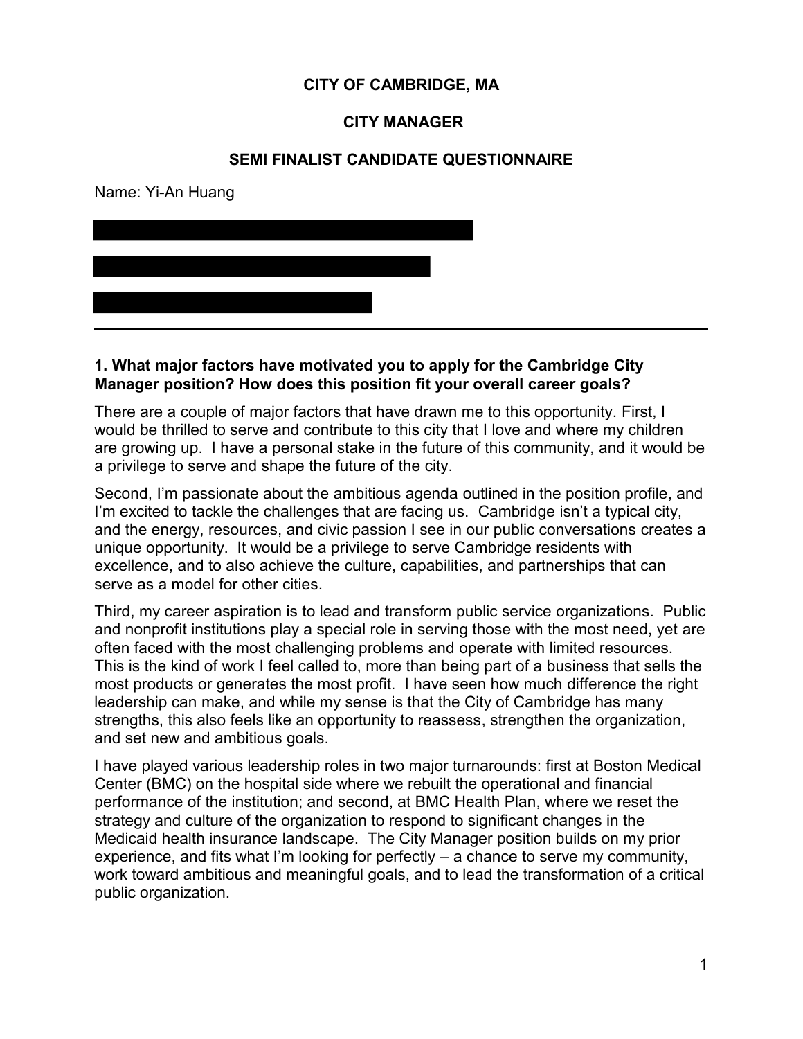# **CITY OF CAMBRIDGE, MA**

## **CITY MANAGER**

## **SEMI FINALIST CANDIDATE QUESTIONNAIRE**

Name: Yi-An Huang



## **1. What major factors have motivated you to apply for the Cambridge City Manager position? How does this position fit your overall career goals?**

There are a couple of major factors that have drawn me to this opportunity. First, I would be thrilled to serve and contribute to this city that I love and where my children are growing up. I have a personal stake in the future of this community, and it would be a privilege to serve and shape the future of the city.

Second, I'm passionate about the ambitious agenda outlined in the position profile, and I'm excited to tackle the challenges that are facing us. Cambridge isn't a typical city, and the energy, resources, and civic passion I see in our public conversations creates a unique opportunity. It would be a privilege to serve Cambridge residents with excellence, and to also achieve the culture, capabilities, and partnerships that can serve as a model for other cities.

Third, my career aspiration is to lead and transform public service organizations. Public and nonprofit institutions play a special role in serving those with the most need, yet are often faced with the most challenging problems and operate with limited resources. This is the kind of work I feel called to, more than being part of a business that sells the most products or generates the most profit. I have seen how much difference the right leadership can make, and while my sense is that the City of Cambridge has many strengths, this also feels like an opportunity to reassess, strengthen the organization, and set new and ambitious goals.

I have played various leadership roles in two major turnarounds: first at Boston Medical Center (BMC) on the hospital side where we rebuilt the operational and financial performance of the institution; and second, at BMC Health Plan, where we reset the strategy and culture of the organization to respond to significant changes in the Medicaid health insurance landscape. The City Manager position builds on my prior experience, and fits what I'm looking for perfectly  $-$  a chance to serve my community, work toward ambitious and meaningful goals, and to lead the transformation of a critical public organization.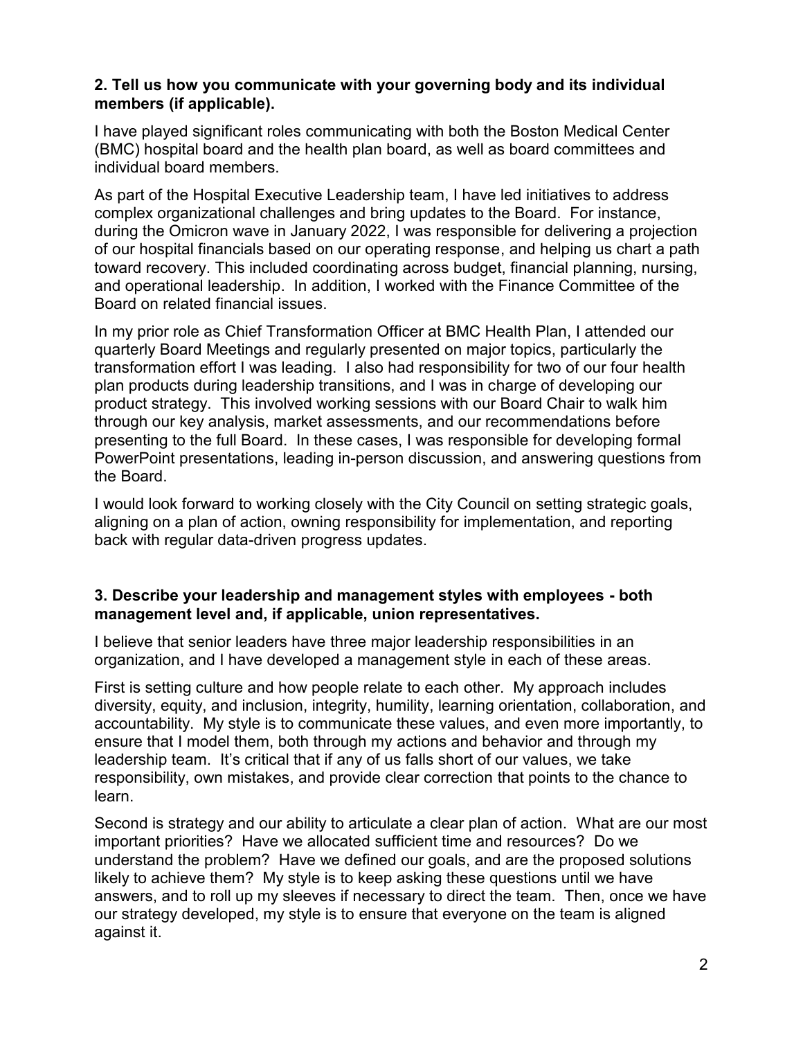# **2. Tell us how you communicate with your governing body and its individual members (if applicable).**

I have played significant roles communicating with both the Boston Medical Center (BMC) hospital board and the health plan board, as well as board committees and individual board members.

As part of the Hospital Executive Leadership team, I have led initiatives to address complex organizational challenges and bring updates to the Board. For instance, during the Omicron wave in January 2022, I was responsible for delivering a projection of our hospital financials based on our operating response, and helping us chart a path toward recovery. This included coordinating across budget, financial planning, nursing, and operational leadership. In addition, I worked with the Finance Committee of the Board on related financial issues.

In my prior role as Chief Transformation Officer at BMC Health Plan, I attended our quarterly Board Meetings and regularly presented on major topics, particularly the transformation effort I was leading. I also had responsibility for two of our four health plan products during leadership transitions, and I was in charge of developing our product strategy. This involved working sessions with our Board Chair to walk him through our key analysis, market assessments, and our recommendations before presenting to the full Board. In these cases, I was responsible for developing formal PowerPoint presentations, leading in-person discussion, and answering questions from the Board.

I would look forward to working closely with the City Council on setting strategic goals, aligning on a plan of action, owning responsibility for implementation, and reporting back with regular data-driven progress updates.

# **3. Describe your leadership and management styles with employees - both management level and, if applicable, union representatives.**

I believe that senior leaders have three major leadership responsibilities in an organization, and I have developed a management style in each of these areas.

First is setting culture and how people relate to each other. My approach includes diversity, equity, and inclusion, integrity, humility, learning orientation, collaboration, and accountability. My style is to communicate these values, and even more importantly, to ensure that I model them, both through my actions and behavior and through my leadership team. It's critical that if any of us falls short of our values, we take responsibility, own mistakes, and provide clear correction that points to the chance to learn.

Second is strategy and our ability to articulate a clear plan of action. What are our most important priorities? Have we allocated sufficient time and resources? Do we understand the problem? Have we defined our goals, and are the proposed solutions likely to achieve them? My style is to keep asking these questions until we have answers, and to roll up my sleeves if necessary to direct the team. Then, once we have our strategy developed, my style is to ensure that everyone on the team is aligned against it.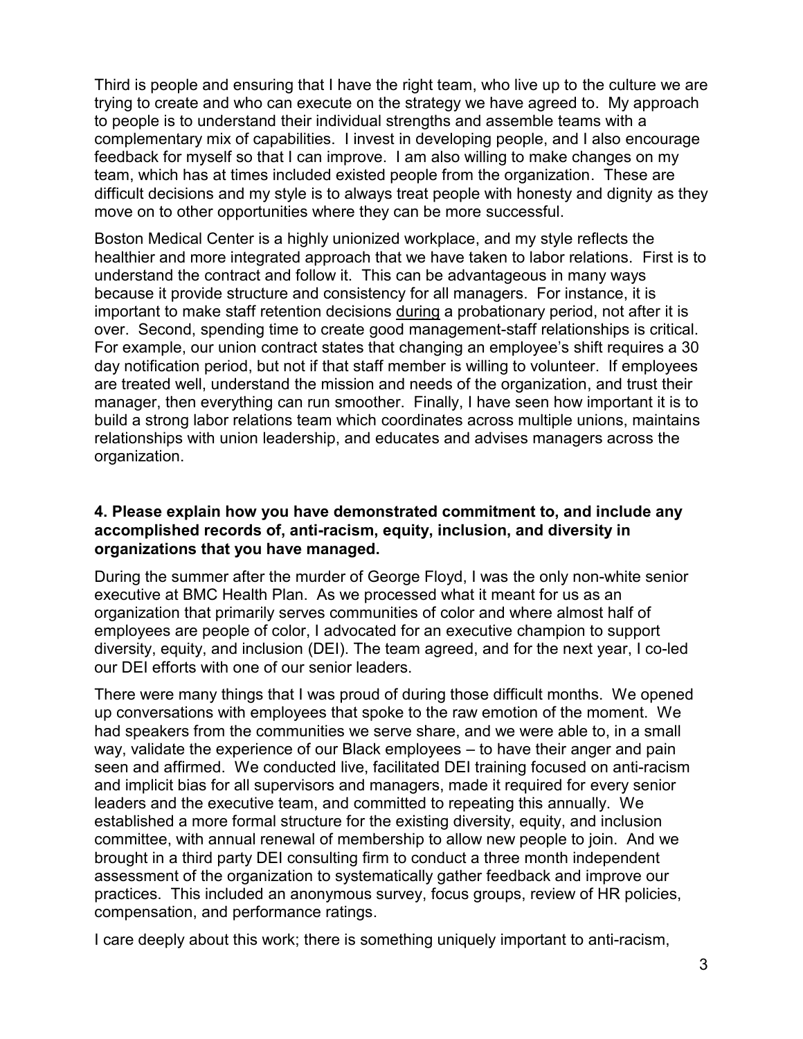Third is people and ensuring that I have the right team, who live up to the culture we are trying to create and who can execute on the strategy we have agreed to. My approach to people is to understand their individual strengths and assemble teams with a complementary mix of capabilities. I invest in developing people, and I also encourage feedback for myself so that I can improve. I am also willing to make changes on my team, which has at times included existed people from the organization. These are difficult decisions and my style is to always treat people with honesty and dignity as they move on to other opportunities where they can be more successful.

Boston Medical Center is a highly unionized workplace, and my style reflects the healthier and more integrated approach that we have taken to labor relations. First is to understand the contract and follow it. This can be advantageous in many ways because it provide structure and consistency for all managers. For instance, it is important to make staff retention decisions during a probationary period, not after it is over. Second, spending time to create good management-staff relationships is critical. For example, our union contract states that changing an employee's shift requires a 30 day notification period, but not if that staff member is willing to volunteer. If employees are treated well, understand the mission and needs of the organization, and trust their manager, then everything can run smoother. Finally, I have seen how important it is to build a strong labor relations team which coordinates across multiple unions, maintains relationships with union leadership, and educates and advises managers across the organization.

## **4. Please explain how you have demonstrated commitment to, and include any accomplished records of, anti-racism, equity, inclusion, and diversity in organizations that you have managed.**

During the summer after the murder of George Floyd, I was the only non-white senior executive at BMC Health Plan. As we processed what it meant for us as an organization that primarily serves communities of color and where almost half of employees are people of color, I advocated for an executive champion to support diversity, equity, and inclusion (DEI). The team agreed, and for the next year, I co-led our DEI efforts with one of our senior leaders.

There were many things that I was proud of during those difficult months. We opened up conversations with employees that spoke to the raw emotion of the moment. We had speakers from the communities we serve share, and we were able to, in a small way, validate the experience of our Black employees – to have their anger and pain seen and affirmed. We conducted live, facilitated DEI training focused on anti-racism and implicit bias for all supervisors and managers, made it required for every senior leaders and the executive team, and committed to repeating this annually. We established a more formal structure for the existing diversity, equity, and inclusion committee, with annual renewal of membership to allow new people to join. And we brought in a third party DEI consulting firm to conduct a three month independent assessment of the organization to systematically gather feedback and improve our practices. This included an anonymous survey, focus groups, review of HR policies, compensation, and performance ratings.

I care deeply about this work; there is something uniquely important to anti-racism,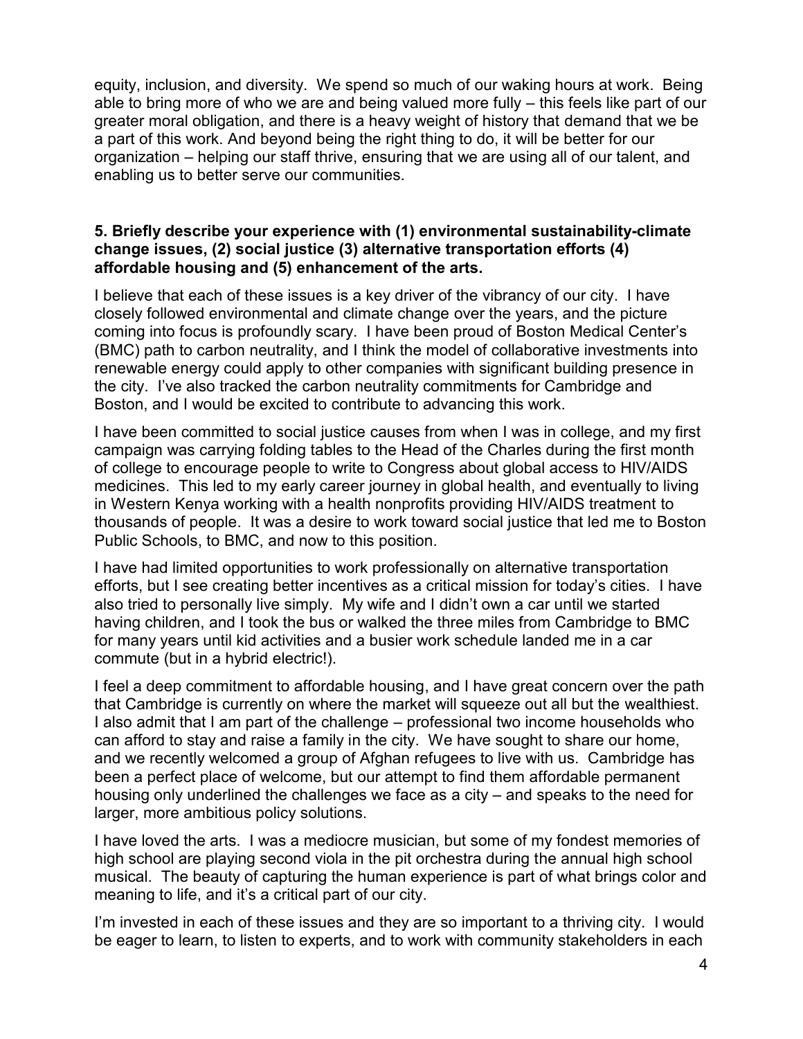equity, inclusion, and diversity. We spend so much of our waking hours at work. Being able to bring more of who we are and being valued more fully – this feels like part of our greater moral obligation, and there is a heavy weight of history that demand that we be a part of this work. And beyond being the right thing to do, it will be better for our organization – helping our staff thrive, ensuring that we are using all of our talent, and enabling us to better serve our communities.

## **5. Briefly describe your experience with (1) environmental sustainability-climate change issues, (2) social justice (3) alternative transportation efforts (4) affordable housing and (5) enhancement of the arts.**

I believe that each of these issues is a key driver of the vibrancy of our city. I have closely followed environmental and climate change over the years, and the picture coming into focus is profoundly scary. I have been proud of Boston Medical Center's (BMC) path to carbon neutrality, and I think the model of collaborative investments into renewable energy could apply to other companies with significant building presence in the city. I've also tracked the carbon neutrality commitments for Cambridge and Boston, and I would be excited to contribute to advancing this work.

I have been committed to social justice causes from when I was in college, and my first campaign was carrying folding tables to the Head of the Charles during the first month of college to encourage people to write to Congress about global access to HIV/AIDS medicines. This led to my early career journey in global health, and eventually to living in Western Kenya working with a health nonprofits providing HIV/AIDS treatment to thousands of people. It was a desire to work toward social justice that led me to Boston Public Schools, to BMC, and now to this position.

I have had limited opportunities to work professionally on alternative transportation efforts, but I see creating better incentives as a critical mission for today's cities. I have also tried to personally live simply. My wife and I didn't own a car until we started having children, and I took the bus or walked the three miles from Cambridge to BMC for many years until kid activities and a busier work schedule landed me in a car commute (but in a hybrid electric!).

I feel a deep commitment to affordable housing, and I have great concern over the path that Cambridge is currently on where the market will squeeze out all but the wealthiest. I also admit that I am part of the challenge – professional two income households who can afford to stay and raise a family in the city. We have sought to share our home, and we recently welcomed a group of Afghan refugees to live with us. Cambridge has been a perfect place of welcome, but our attempt to find them affordable permanent housing only underlined the challenges we face as a city – and speaks to the need for larger, more ambitious policy solutions.

I have loved the arts. I was a mediocre musician, but some of my fondest memories of high school are playing second viola in the pit orchestra during the annual high school musical. The beauty of capturing the human experience is part of what brings color and meaning to life, and it's a critical part of our city.

I'm invested in each of these issues and they are so important to a thriving city. I would be eager to learn, to listen to experts, and to work with community stakeholders in each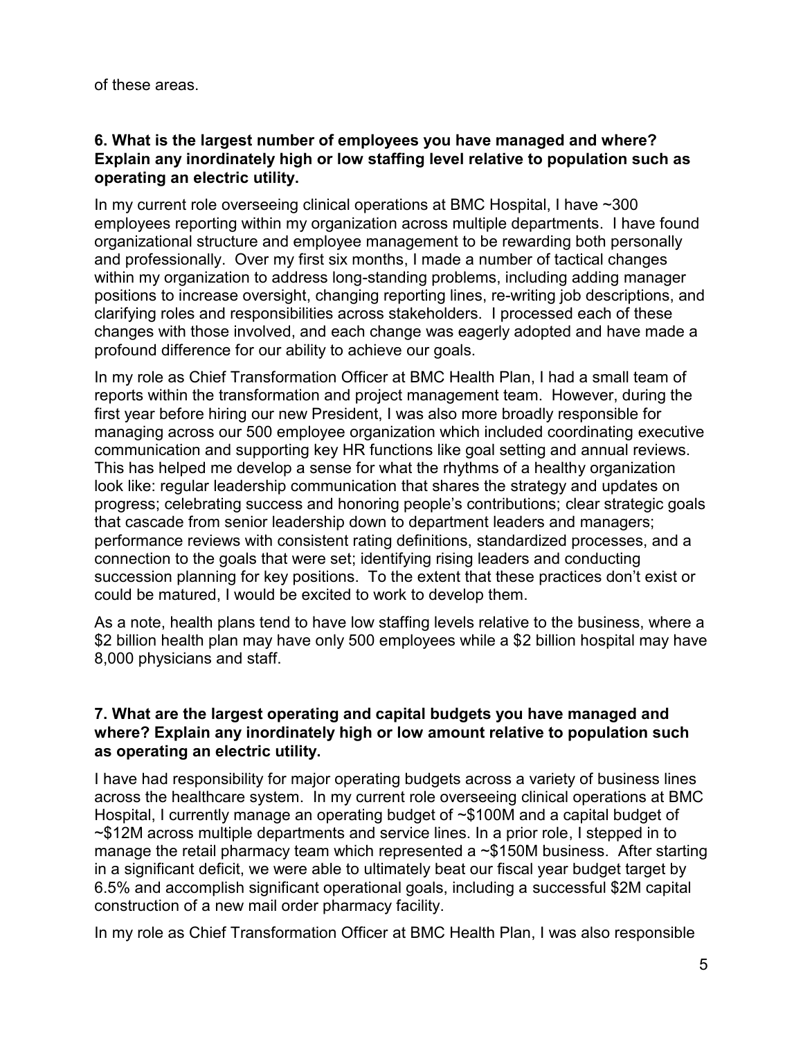of these areas.

## **6. What is the largest number of employees you have managed and where? Explain any inordinately high or low staffing level relative to population such as operating an electric utility.**

In my current role overseeing clinical operations at BMC Hospital, I have ~300 employees reporting within my organization across multiple departments. I have found organizational structure and employee management to be rewarding both personally and professionally. Over my first six months, I made a number of tactical changes within my organization to address long-standing problems, including adding manager positions to increase oversight, changing reporting lines, re-writing job descriptions, and clarifying roles and responsibilities across stakeholders. I processed each of these changes with those involved, and each change was eagerly adopted and have made a profound difference for our ability to achieve our goals.

In my role as Chief Transformation Officer at BMC Health Plan, I had a small team of reports within the transformation and project management team. However, during the first year before hiring our new President, I was also more broadly responsible for managing across our 500 employee organization which included coordinating executive communication and supporting key HR functions like goal setting and annual reviews. This has helped me develop a sense for what the rhythms of a healthy organization look like: regular leadership communication that shares the strategy and updates on progress; celebrating success and honoring people's contributions; clear strategic goals that cascade from senior leadership down to department leaders and managers; performance reviews with consistent rating definitions, standardized processes, and a connection to the goals that were set; identifying rising leaders and conducting succession planning for key positions. To the extent that these practices don't exist or could be matured, I would be excited to work to develop them.

As a note, health plans tend to have low staffing levels relative to the business, where a \$2 billion health plan may have only 500 employees while a \$2 billion hospital may have 8,000 physicians and staff.

## **7. What are the largest operating and capital budgets you have managed and where? Explain any inordinately high or low amount relative to population such as operating an electric utility.**

I have had responsibility for major operating budgets across a variety of business lines across the healthcare system. In my current role overseeing clinical operations at BMC Hospital, I currently manage an operating budget of ~\$100M and a capital budget of ~\$12M across multiple departments and service lines. In a prior role, I stepped in to manage the retail pharmacy team which represented a ~\$150M business. After starting in a significant deficit, we were able to ultimately beat our fiscal year budget target by 6.5% and accomplish significant operational goals, including a successful \$2M capital construction of a new mail order pharmacy facility.

In my role as Chief Transformation Officer at BMC Health Plan, I was also responsible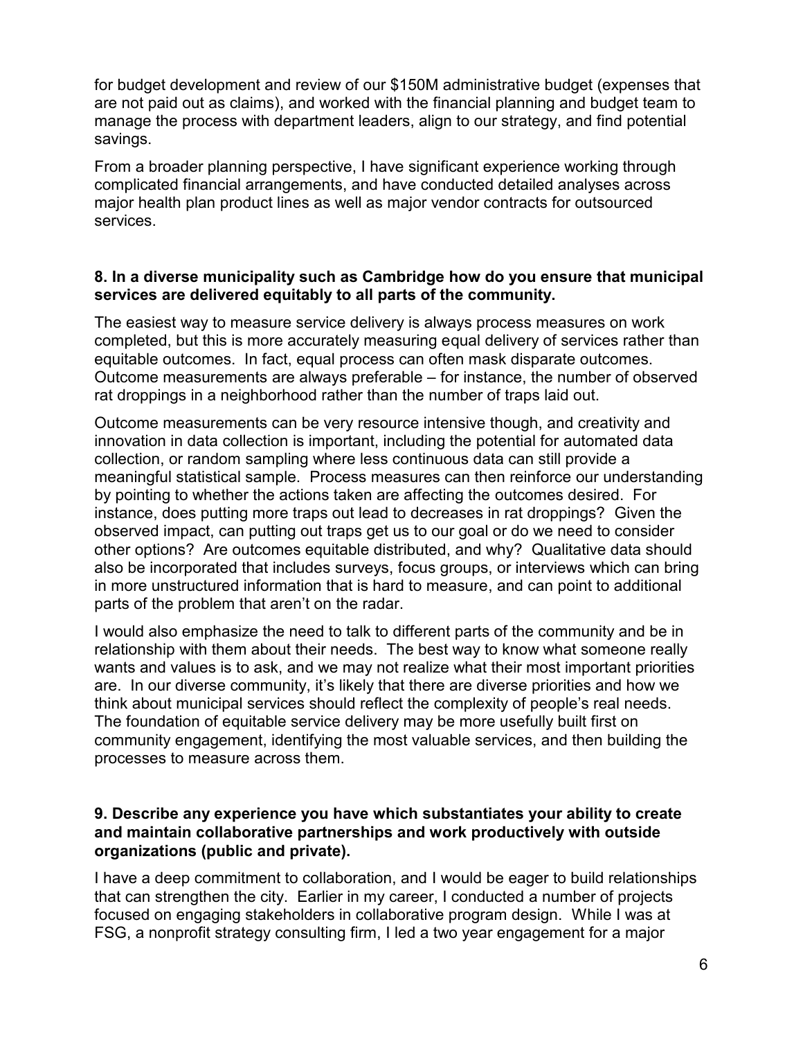for budget development and review of our \$150M administrative budget (expenses that are not paid out as claims), and worked with the financial planning and budget team to manage the process with department leaders, align to our strategy, and find potential savings.

From a broader planning perspective, I have significant experience working through complicated financial arrangements, and have conducted detailed analyses across major health plan product lines as well as major vendor contracts for outsourced services.

## **8. In a diverse municipality such as Cambridge how do you ensure that municipal services are delivered equitably to all parts of the community.**

The easiest way to measure service delivery is always process measures on work completed, but this is more accurately measuring equal delivery of services rather than equitable outcomes. In fact, equal process can often mask disparate outcomes. Outcome measurements are always preferable – for instance, the number of observed rat droppings in a neighborhood rather than the number of traps laid out.

Outcome measurements can be very resource intensive though, and creativity and innovation in data collection is important, including the potential for automated data collection, or random sampling where less continuous data can still provide a meaningful statistical sample. Process measures can then reinforce our understanding by pointing to whether the actions taken are affecting the outcomes desired. For instance, does putting more traps out lead to decreases in rat droppings? Given the observed impact, can putting out traps get us to our goal or do we need to consider other options? Are outcomes equitable distributed, and why? Qualitative data should also be incorporated that includes surveys, focus groups, or interviews which can bring in more unstructured information that is hard to measure, and can point to additional parts of the problem that aren't on the radar.

I would also emphasize the need to talk to different parts of the community and be in relationship with them about their needs. The best way to know what someone really wants and values is to ask, and we may not realize what their most important priorities are. In our diverse community, it's likely that there are diverse priorities and how we think about municipal services should reflect the complexity of people's real needs. The foundation of equitable service delivery may be more usefully built first on community engagement, identifying the most valuable services, and then building the processes to measure across them.

## **9. Describe any experience you have which substantiates your ability to create and maintain collaborative partnerships and work productively with outside organizations (public and private).**

I have a deep commitment to collaboration, and I would be eager to build relationships that can strengthen the city. Earlier in my career, I conducted a number of projects focused on engaging stakeholders in collaborative program design. While I was at FSG, a nonprofit strategy consulting firm, I led a two year engagement for a major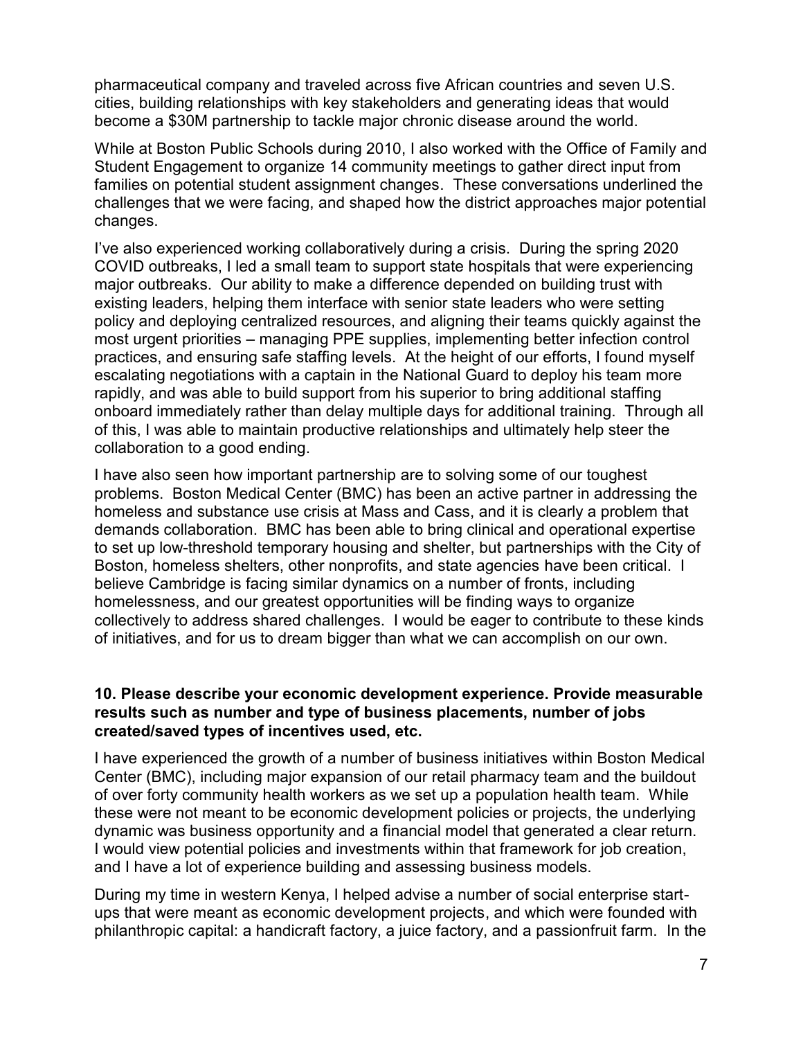pharmaceutical company and traveled across five African countries and seven U.S. cities, building relationships with key stakeholders and generating ideas that would become a \$30M partnership to tackle major chronic disease around the world.

While at Boston Public Schools during 2010, I also worked with the Office of Family and Student Engagement to organize 14 community meetings to gather direct input from families on potential student assignment changes. These conversations underlined the challenges that we were facing, and shaped how the district approaches major potential changes.

I've also experienced working collaboratively during a crisis. During the spring 2020 COVID outbreaks, I led a small team to support state hospitals that were experiencing major outbreaks. Our ability to make a difference depended on building trust with existing leaders, helping them interface with senior state leaders who were setting policy and deploying centralized resources, and aligning their teams quickly against the most urgent priorities – managing PPE supplies, implementing better infection control practices, and ensuring safe staffing levels. At the height of our efforts, I found myself escalating negotiations with a captain in the National Guard to deploy his team more rapidly, and was able to build support from his superior to bring additional staffing onboard immediately rather than delay multiple days for additional training. Through all of this, I was able to maintain productive relationships and ultimately help steer the collaboration to a good ending.

I have also seen how important partnership are to solving some of our toughest problems. Boston Medical Center (BMC) has been an active partner in addressing the homeless and substance use crisis at Mass and Cass, and it is clearly a problem that demands collaboration. BMC has been able to bring clinical and operational expertise to set up low-threshold temporary housing and shelter, but partnerships with the City of Boston, homeless shelters, other nonprofits, and state agencies have been critical. I believe Cambridge is facing similar dynamics on a number of fronts, including homelessness, and our greatest opportunities will be finding ways to organize collectively to address shared challenges. I would be eager to contribute to these kinds of initiatives, and for us to dream bigger than what we can accomplish on our own.

## **10. Please describe your economic development experience. Provide measurable results such as number and type of business placements, number of jobs created/saved types of incentives used, etc.**

I have experienced the growth of a number of business initiatives within Boston Medical Center (BMC), including major expansion of our retail pharmacy team and the buildout of over forty community health workers as we set up a population health team. While these were not meant to be economic development policies or projects, the underlying dynamic was business opportunity and a financial model that generated a clear return. I would view potential policies and investments within that framework for job creation, and I have a lot of experience building and assessing business models.

During my time in western Kenya, I helped advise a number of social enterprise startups that were meant as economic development projects, and which were founded with philanthropic capital: a handicraft factory, a juice factory, and a passionfruit farm. In the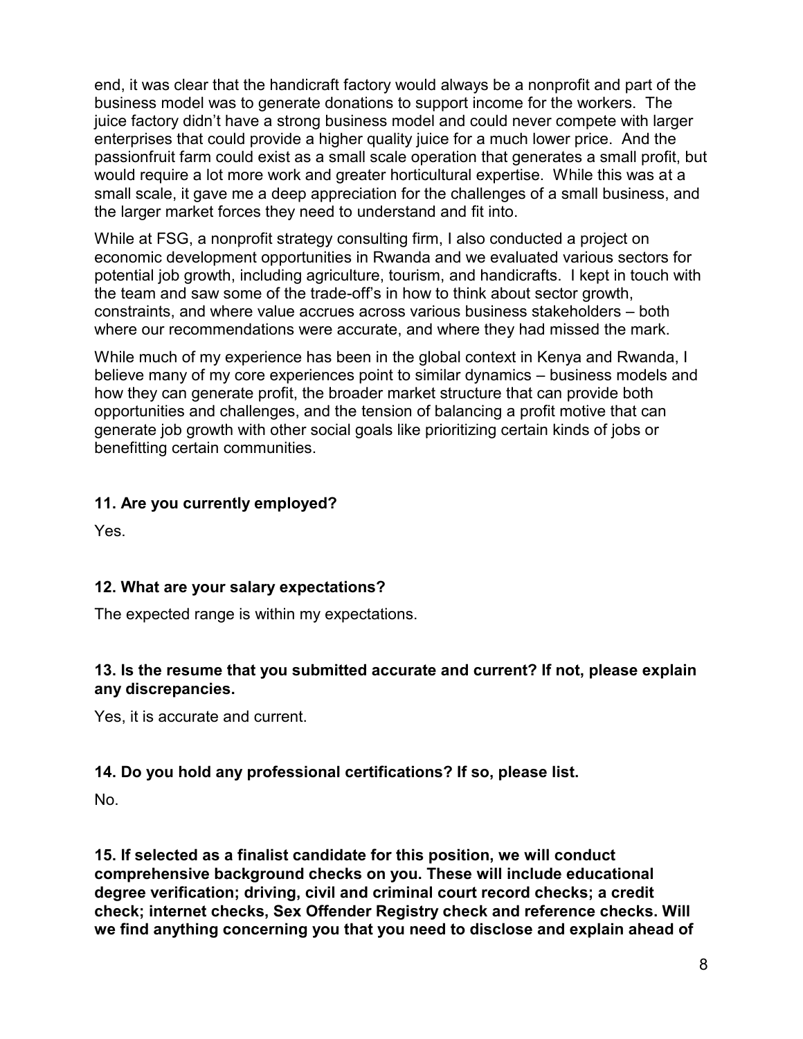end, it was clear that the handicraft factory would always be a nonprofit and part of the business model was to generate donations to support income for the workers. The juice factory didn't have a strong business model and could never compete with larger enterprises that could provide a higher quality juice for a much lower price. And the passionfruit farm could exist as a small scale operation that generates a small profit, but would require a lot more work and greater horticultural expertise. While this was at a small scale, it gave me a deep appreciation for the challenges of a small business, and the larger market forces they need to understand and fit into.

While at FSG, a nonprofit strategy consulting firm, I also conducted a project on economic development opportunities in Rwanda and we evaluated various sectors for potential job growth, including agriculture, tourism, and handicrafts. I kept in touch with the team and saw some of the trade-off's in how to think about sector growth, constraints, and where value accrues across various business stakeholders – both where our recommendations were accurate, and where they had missed the mark.

While much of my experience has been in the global context in Kenya and Rwanda, I believe many of my core experiences point to similar dynamics – business models and how they can generate profit, the broader market structure that can provide both opportunities and challenges, and the tension of balancing a profit motive that can generate job growth with other social goals like prioritizing certain kinds of jobs or benefitting certain communities.

# **11. Are you currently employed?**

Yes.

# **12. What are your salary expectations?**

The expected range is within my expectations.

# **13. Is the resume that you submitted accurate and current? If not, please explain any discrepancies.**

Yes, it is accurate and current.

# **14. Do you hold any professional certifications? If so, please list.**

No.

**15. If selected as a finalist candidate for this position, we will conduct comprehensive background checks on you. These will include educational degree verification; driving, civil and criminal court record checks; a credit check; internet checks, Sex Offender Registry check and reference checks. Will we find anything concerning you that you need to disclose and explain ahead of**